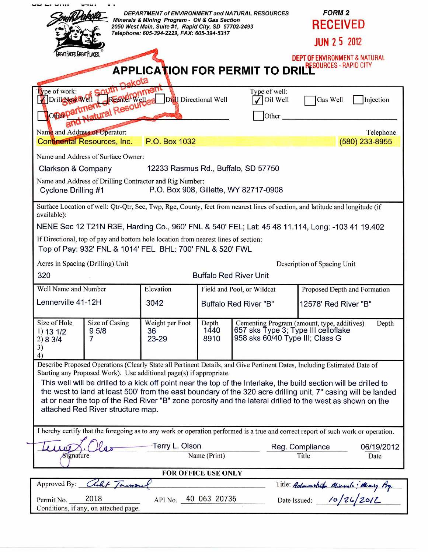|                                                                                                                                                                                          | Minerals & Mining Program - Oil & Gas Section<br>2050 West Main, Suite #1, Rapid City, SD 57702-2493<br>Telephone: 605-394-2229, FAX: 605-394-5317 |                               | DEPARTMENT of ENVIRONMENT and NATURAL RESOURCES                        | <b>FORM 2</b><br><b>RECEIVED</b>                     |  |
|------------------------------------------------------------------------------------------------------------------------------------------------------------------------------------------|----------------------------------------------------------------------------------------------------------------------------------------------------|-------------------------------|------------------------------------------------------------------------|------------------------------------------------------|--|
|                                                                                                                                                                                          |                                                                                                                                                    |                               |                                                                        | <b>JUN 2 5 2012</b>                                  |  |
| GREAT FACES, GREAT PLACES.<br><b>DEPT OF ENVIRONMENT &amp; NATURAL</b><br><b>APPLICATION FOR PERMIT TO DRILL RESOURCES - RAPID CITY</b>                                                  |                                                                                                                                                    |                               |                                                                        |                                                      |  |
| nakota<br>pe of work:                                                                                                                                                                    |                                                                                                                                                    |                               | Type of well:                                                          |                                                      |  |
| Drill New Well                                                                                                                                                                           | Drill Directional Well                                                                                                                             |                               | Oil Well                                                               | Gas Well<br>Injection                                |  |
| vell <del>I offentl</del> ight met<br>onepartn<br>Other                                                                                                                                  |                                                                                                                                                    |                               |                                                                        |                                                      |  |
|                                                                                                                                                                                          |                                                                                                                                                    |                               |                                                                        |                                                      |  |
| Name and Address of Operator:<br><b>Continental Resources, Inc.</b>                                                                                                                      | P.O. Box 1032                                                                                                                                      |                               |                                                                        | Telephone<br>(580) 233-8955                          |  |
| Name and Address of Surface Owner:                                                                                                                                                       |                                                                                                                                                    |                               |                                                                        |                                                      |  |
| 12233 Rasmus Rd., Buffalo, SD 57750<br>Clarkson & Company                                                                                                                                |                                                                                                                                                    |                               |                                                                        |                                                      |  |
| Name and Address of Drilling Contractor and Rig Number:                                                                                                                                  |                                                                                                                                                    |                               |                                                                        |                                                      |  |
| P.O. Box 908, Gillette, WY 82717-0908<br>Cyclone Drilling #1                                                                                                                             |                                                                                                                                                    |                               |                                                                        |                                                      |  |
| Surface Location of well: Qtr-Qtr, Sec, Twp, Rge, County, feet from nearest lines of section, and latitude and longitude (if<br>available):                                              |                                                                                                                                                    |                               |                                                                        |                                                      |  |
| NENE Sec 12 T21N R3E, Harding Co., 960' FNL & 540' FEL; Lat: 45 48 11.114, Long: -103 41 19.402                                                                                          |                                                                                                                                                    |                               |                                                                        |                                                      |  |
| If Directional, top of pay and bottom hole location from nearest lines of section:                                                                                                       |                                                                                                                                                    |                               |                                                                        |                                                      |  |
| Top of Pay: 932' FNL & 1014' FEL BHL: 700' FNL & 520' FWL                                                                                                                                |                                                                                                                                                    |                               |                                                                        |                                                      |  |
| Acres in Spacing (Drilling) Unit<br>Description of Spacing Unit                                                                                                                          |                                                                                                                                                    |                               |                                                                        |                                                      |  |
| 320                                                                                                                                                                                      | <b>Buffalo Red River Unit</b>                                                                                                                      |                               |                                                                        |                                                      |  |
| Well Name and Number                                                                                                                                                                     | Elevation                                                                                                                                          |                               | Field and Pool, or Wildcat                                             | Proposed Depth and Formation                         |  |
| Lennerville 41-12H                                                                                                                                                                       | 3042                                                                                                                                               | <b>Buffalo Red River "B"</b>  |                                                                        | 12578' Red River "B"                                 |  |
| Size of Hole<br>Size of Casing<br>95/8<br>1) 13 1/2<br>7<br>2) 8 3/4<br>3)<br>4)                                                                                                         | Weight per Foot<br>36<br>$23 - 29$                                                                                                                 | Depth<br>1440<br>8910         | 657 sks Type 3; Type III celloflake<br>958 sks 60/40 Type III; Class G | Cementing Program (amount, type, additives)<br>Depth |  |
| Describe Proposed Operations (Clearly State all Pertinent Details, and Give Pertinent Dates, Including Estimated Date of                                                                 |                                                                                                                                                    |                               |                                                                        |                                                      |  |
| Starting any Proposed Work). Use additional page(s) if appropriate.<br>This well will be drilled to a kick off point near the top of the Interlake, the build section will be drilled to |                                                                                                                                                    |                               |                                                                        |                                                      |  |
| the west to land at least 500' from the east boundary of the 320 acre drilling unit, 7" casing will be landed                                                                            |                                                                                                                                                    |                               |                                                                        |                                                      |  |
| at or near the top of the Red River "B" zone porosity and the lateral drilled to the west as shown on the<br>attached Red River structure map.                                           |                                                                                                                                                    |                               |                                                                        |                                                      |  |
|                                                                                                                                                                                          |                                                                                                                                                    |                               |                                                                        |                                                      |  |
| I hereby certify that the foregoing as to any work or operation performed is a true and correct report of such work or operation.                                                        |                                                                                                                                                    |                               |                                                                        |                                                      |  |
| Terry L. Olson                                                                                                                                                                           |                                                                                                                                                    |                               |                                                                        | Reg. Compliance<br>06/19/2012                        |  |
| Signature                                                                                                                                                                                |                                                                                                                                                    | Name (Print)<br>Title<br>Date |                                                                        |                                                      |  |
| FOR OFFICE USE ONLY                                                                                                                                                                      |                                                                                                                                                    |                               |                                                                        |                                                      |  |
| alet Tamou<br>Approved By:<br>Title: Admonstrato Minusle: Minisy Ag.<br>Date Issued: 10/26/2012                                                                                          |                                                                                                                                                    |                               |                                                                        |                                                      |  |
| 2018<br>API No. 40 063 20736<br>Permit No.<br>Conditions, if any, on attached page.                                                                                                      |                                                                                                                                                    |                               |                                                                        |                                                      |  |